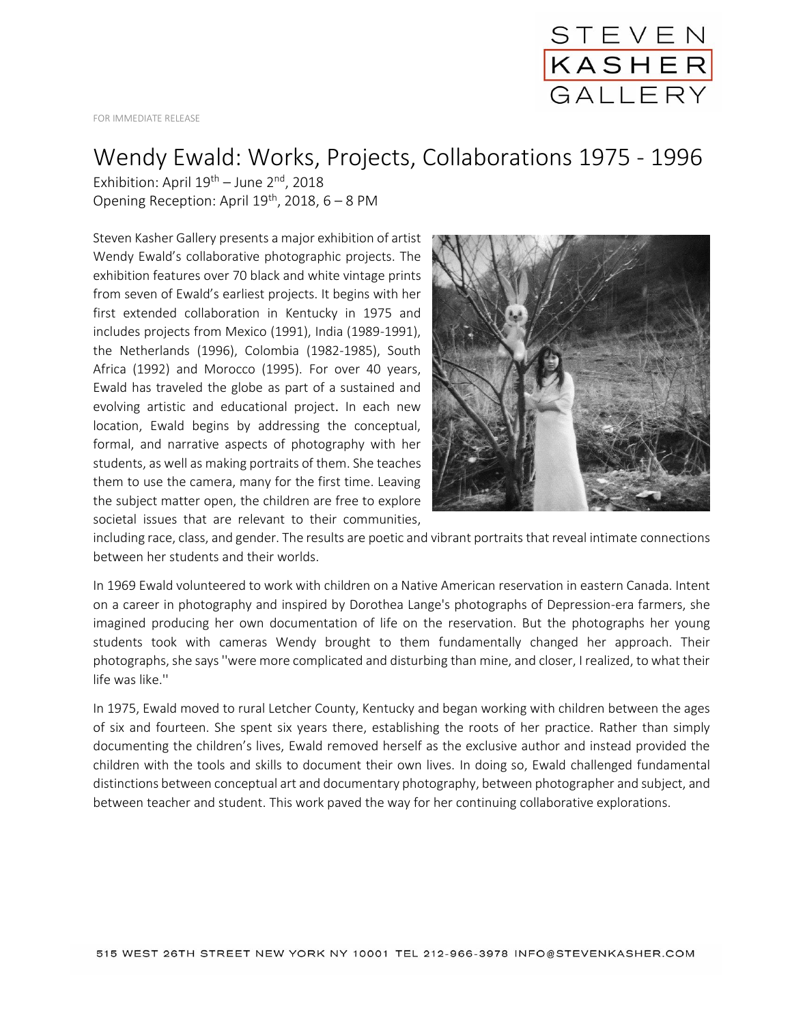

FOR IMMEDIATE RELEASE

## Wendy Ewald: Works, Projects, Collaborations 1975 - 1996

Exhibition: April  $19^{th}$  – June  $2^{nd}$ , 2018 Opening Reception: April  $19^{th}$ , 2018, 6 – 8 PM

Steven Kasher Gallery presents a major exhibition of artist Wendy Ewald's collaborative photographic projects. The exhibition features over 70 black and white vintage prints from seven of Ewald's earliest projects. It begins with her first extended collaboration in Kentucky in 1975 and includes projects from Mexico (1991), India (1989-1991), the Netherlands (1996), Colombia (1982-1985), South Africa (1992) and Morocco (1995). For over 40 years, Ewald has traveled the globe as part of a sustained and evolving artistic and educational project. In each new location, Ewald begins by addressing the conceptual, formal, and narrative aspects of photography with her students, as well as making portraits of them. She teaches them to use the camera, many for the first time. Leaving the subject matter open, the children are free to explore societal issues that are relevant to their communities,



including race, class, and gender. The results are poetic and vibrant portraits that reveal intimate connections between her students and their worlds.

In 1969 Ewald volunteered to work with children on a Native American reservation in eastern Canada. Intent on a career in photography and inspired by Dorothea Lange's photographs of Depression-era farmers, she imagined producing her own documentation of life on the reservation. But the photographs her young students took with cameras Wendy brought to them fundamentally changed her approach. Their photographs, she says ''were more complicated and disturbing than mine, and closer, I realized, to what their life was like.''

In 1975, Ewald moved to rural Letcher County, Kentucky and began working with children between the ages of six and fourteen. She spent six years there, establishing the roots of her practice. Rather than simply documenting the children's lives, Ewald removed herself as the exclusive author and instead provided the children with the tools and skills to document their own lives. In doing so, Ewald challenged fundamental distinctions between conceptual art and documentary photography, between photographer and subject, and between teacher and student. This work paved the way for her continuing collaborative explorations.